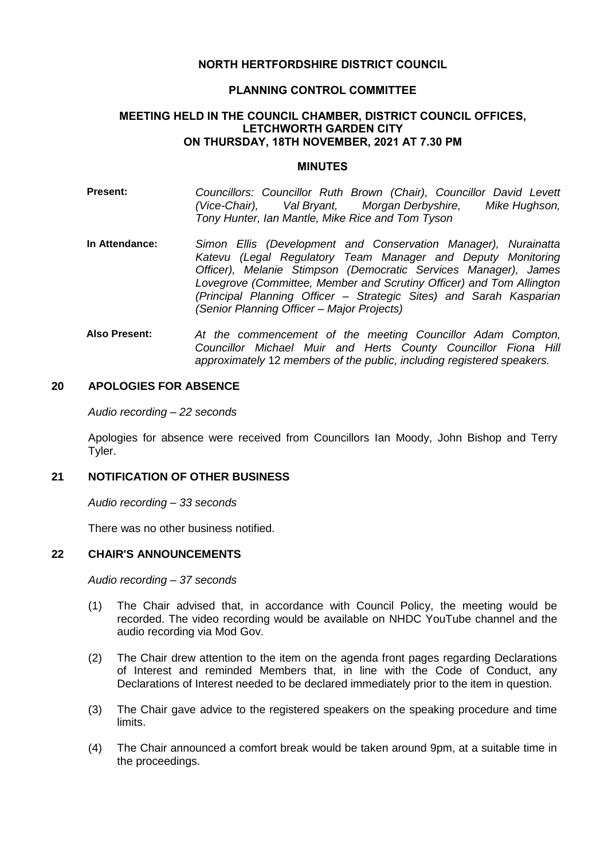## **NORTH HERTFORDSHIRE DISTRICT COUNCIL**

#### **PLANNING CONTROL COMMITTEE**

#### **MEETING HELD IN THE COUNCIL CHAMBER, DISTRICT COUNCIL OFFICES, LETCHWORTH GARDEN CITY ON THURSDAY, 18TH NOVEMBER, 2021 AT 7.30 PM**

#### **MINUTES**

- **Present:** *Councillors: Councillor Ruth Brown (Chair), Councillor David Levett (Vice-Chair), Val Bryant, Morgan Derbyshire, Mike Hughson, Tony Hunter, Ian Mantle, Mike Rice and Tom Tyson*
- **In Attendance:** *Simon Ellis (Development and Conservation Manager), Nurainatta Katevu (Legal Regulatory Team Manager and Deputy Monitoring Officer), Melanie Stimpson (Democratic Services Manager), James Lovegrove (Committee, Member and Scrutiny Officer) and Tom Allington (Principal Planning Officer – Strategic Sites) and Sarah Kasparian (Senior Planning Officer – Major Projects)*
- **Also Present:** *At the commencement of the meeting Councillor Adam Compton, Councillor Michael Muir and Herts County Councillor Fiona Hill approximately* 12 *members of the public, including registered speakers.*

## **20 APOLOGIES FOR ABSENCE**

*Audio recording – 22 seconds*

Apologies for absence were received from Councillors Ian Moody, John Bishop and Terry Tyler.

#### **21 NOTIFICATION OF OTHER BUSINESS**

*Audio recording – 33 seconds*

There was no other business notified.

#### **22 CHAIR'S ANNOUNCEMENTS**

*Audio recording – 37 seconds*

- (1) The Chair advised that, in accordance with Council Policy, the meeting would be recorded. The video recording would be available on NHDC YouTube channel and the audio recording via Mod Gov.
- (2) The Chair drew attention to the item on the agenda front pages regarding Declarations of Interest and reminded Members that, in line with the Code of Conduct, any Declarations of Interest needed to be declared immediately prior to the item in question.
- (3) The Chair gave advice to the registered speakers on the speaking procedure and time limits.
- (4) The Chair announced a comfort break would be taken around 9pm, at a suitable time in the proceedings.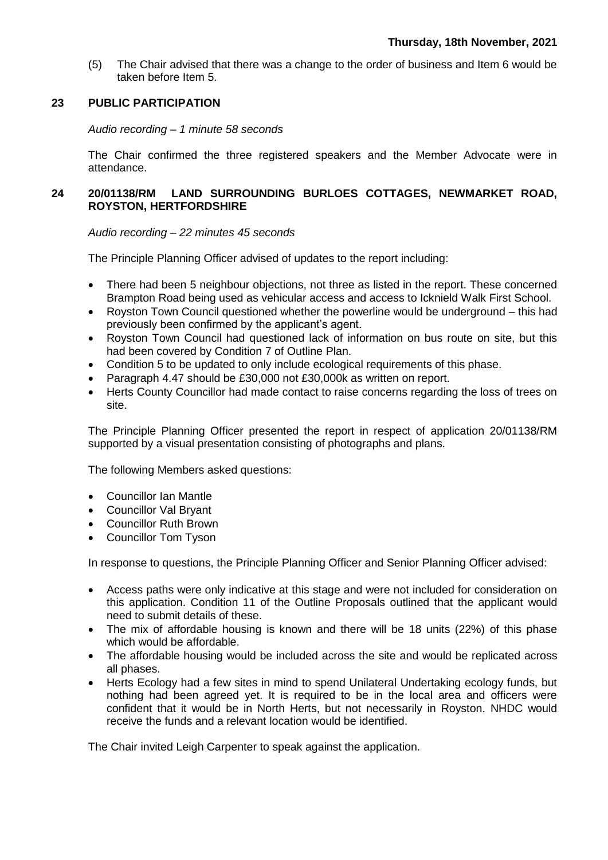(5) The Chair advised that there was a change to the order of business and Item 6 would be taken before Item 5.

## **23 PUBLIC PARTICIPATION**

*Audio recording – 1 minute 58 seconds*

The Chair confirmed the three registered speakers and the Member Advocate were in attendance.

# **24 20/01138/RM LAND SURROUNDING BURLOES COTTAGES, NEWMARKET ROAD, ROYSTON, HERTFORDSHIRE**

*Audio recording – 22 minutes 45 seconds*

The Principle Planning Officer advised of updates to the report including:

- There had been 5 neighbour objections, not three as listed in the report. These concerned Brampton Road being used as vehicular access and access to Icknield Walk First School.
- Royston Town Council questioned whether the powerline would be underground this had previously been confirmed by the applicant's agent.
- Royston Town Council had questioned lack of information on bus route on site, but this had been covered by Condition 7 of Outline Plan.
- Condition 5 to be updated to only include ecological requirements of this phase.
- Paragraph 4.47 should be £30,000 not £30,000k as written on report.
- Herts County Councillor had made contact to raise concerns regarding the loss of trees on site.

The Principle Planning Officer presented the report in respect of application 20/01138/RM supported by a visual presentation consisting of photographs and plans.

The following Members asked questions:

- Councillor Ian Mantle
- Councillor Val Bryant
- Councillor Ruth Brown
- Councillor Tom Tyson

In response to questions, the Principle Planning Officer and Senior Planning Officer advised:

- Access paths were only indicative at this stage and were not included for consideration on this application. Condition 11 of the Outline Proposals outlined that the applicant would need to submit details of these.
- The mix of affordable housing is known and there will be 18 units (22%) of this phase which would be affordable.
- The affordable housing would be included across the site and would be replicated across all phases.
- Herts Ecology had a few sites in mind to spend Unilateral Undertaking ecology funds, but nothing had been agreed yet. It is required to be in the local area and officers were confident that it would be in North Herts, but not necessarily in Royston. NHDC would receive the funds and a relevant location would be identified.

The Chair invited Leigh Carpenter to speak against the application.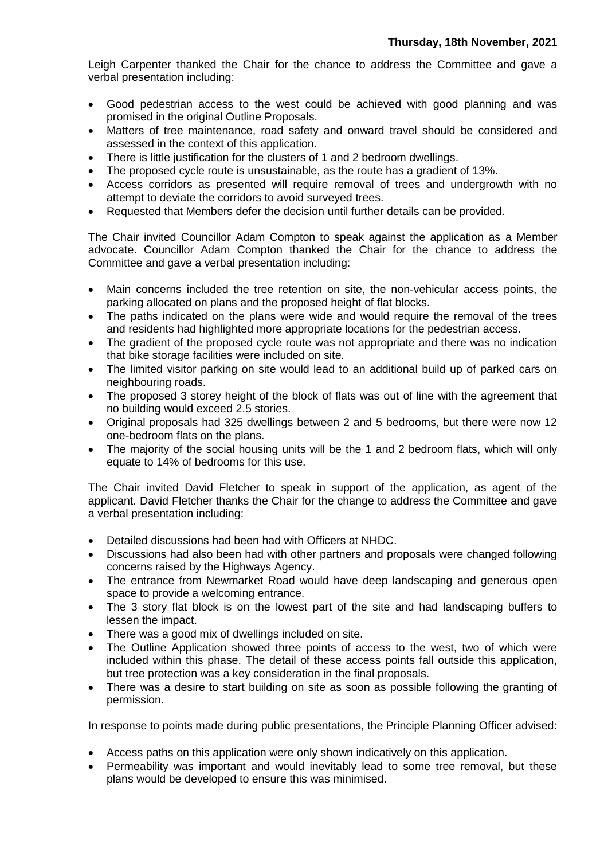Leigh Carpenter thanked the Chair for the chance to address the Committee and gave a verbal presentation including:

- Good pedestrian access to the west could be achieved with good planning and was promised in the original Outline Proposals.
- Matters of tree maintenance, road safety and onward travel should be considered and assessed in the context of this application.
- There is little justification for the clusters of 1 and 2 bedroom dwellings.
- The proposed cycle route is unsustainable, as the route has a gradient of 13%.
- Access corridors as presented will require removal of trees and undergrowth with no attempt to deviate the corridors to avoid surveyed trees.
- Requested that Members defer the decision until further details can be provided.

The Chair invited Councillor Adam Compton to speak against the application as a Member advocate. Councillor Adam Compton thanked the Chair for the chance to address the Committee and gave a verbal presentation including:

- Main concerns included the tree retention on site, the non-vehicular access points, the parking allocated on plans and the proposed height of flat blocks.
- The paths indicated on the plans were wide and would require the removal of the trees and residents had highlighted more appropriate locations for the pedestrian access.
- The gradient of the proposed cycle route was not appropriate and there was no indication that bike storage facilities were included on site.
- The limited visitor parking on site would lead to an additional build up of parked cars on neighbouring roads.
- The proposed 3 storey height of the block of flats was out of line with the agreement that no building would exceed 2.5 stories.
- Original proposals had 325 dwellings between 2 and 5 bedrooms, but there were now 12 one-bedroom flats on the plans.
- The majority of the social housing units will be the 1 and 2 bedroom flats, which will only equate to 14% of bedrooms for this use.

The Chair invited David Fletcher to speak in support of the application, as agent of the applicant. David Fletcher thanks the Chair for the change to address the Committee and gave a verbal presentation including:

- Detailed discussions had been had with Officers at NHDC.
- Discussions had also been had with other partners and proposals were changed following concerns raised by the Highways Agency.
- The entrance from Newmarket Road would have deep landscaping and generous open space to provide a welcoming entrance.
- The 3 story flat block is on the lowest part of the site and had landscaping buffers to lessen the impact.
- There was a good mix of dwellings included on site.
- The Outline Application showed three points of access to the west, two of which were included within this phase. The detail of these access points fall outside this application, but tree protection was a key consideration in the final proposals.
- There was a desire to start building on site as soon as possible following the granting of permission.

In response to points made during public presentations, the Principle Planning Officer advised:

- Access paths on this application were only shown indicatively on this application.
- Permeability was important and would inevitably lead to some tree removal, but these plans would be developed to ensure this was minimised.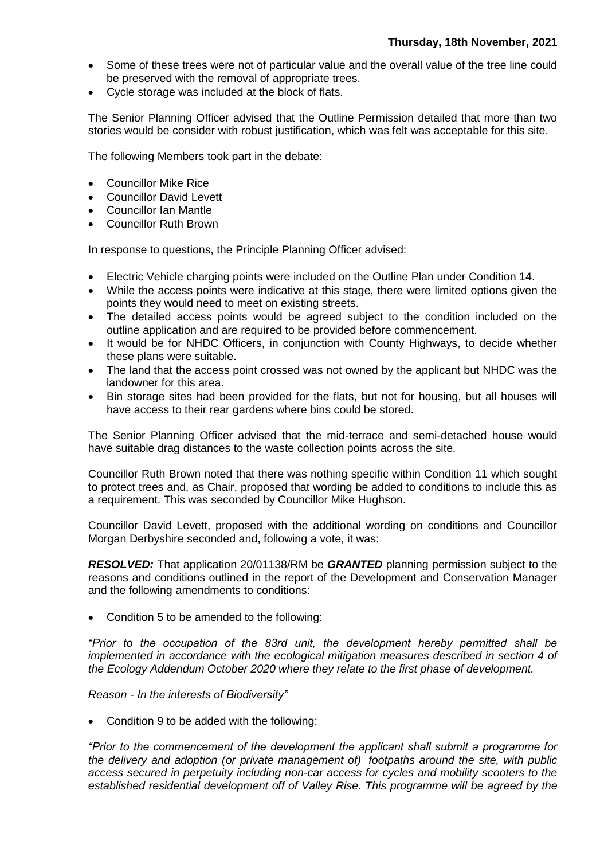- Some of these trees were not of particular value and the overall value of the tree line could be preserved with the removal of appropriate trees.
- Cycle storage was included at the block of flats.

The Senior Planning Officer advised that the Outline Permission detailed that more than two stories would be consider with robust justification, which was felt was acceptable for this site.

The following Members took part in the debate:

- Councillor Mike Rice
- Councillor David Levett
- Councillor Ian Mantle
- Councillor Ruth Brown

In response to questions, the Principle Planning Officer advised:

- Electric Vehicle charging points were included on the Outline Plan under Condition 14.
- While the access points were indicative at this stage, there were limited options given the points they would need to meet on existing streets.
- The detailed access points would be agreed subject to the condition included on the outline application and are required to be provided before commencement.
- It would be for NHDC Officers, in conjunction with County Highways, to decide whether these plans were suitable.
- The land that the access point crossed was not owned by the applicant but NHDC was the landowner for this area.
- Bin storage sites had been provided for the flats, but not for housing, but all houses will have access to their rear gardens where bins could be stored.

The Senior Planning Officer advised that the mid-terrace and semi-detached house would have suitable drag distances to the waste collection points across the site.

Councillor Ruth Brown noted that there was nothing specific within Condition 11 which sought to protect trees and, as Chair, proposed that wording be added to conditions to include this as a requirement. This was seconded by Councillor Mike Hughson.

Councillor David Levett, proposed with the additional wording on conditions and Councillor Morgan Derbyshire seconded and, following a vote, it was:

*RESOLVED:* That application 20/01138/RM be *GRANTED* planning permission subject to the reasons and conditions outlined in the report of the Development and Conservation Manager and the following amendments to conditions:

Condition 5 to be amended to the following:

*"Prior to the occupation of the 83rd unit, the development hereby permitted shall be implemented in accordance with the ecological mitigation measures described in section 4 of the Ecology Addendum October 2020 where they relate to the first phase of development.*

*Reason - In the interests of Biodiversity"*

• Condition 9 to be added with the following:

*"Prior to the commencement of the development the applicant shall submit a programme for the delivery and adoption (or private management of) footpaths around the site, with public access secured in perpetuity including non-car access for cycles and mobility scooters to the*  established residential development off of Valley Rise. This programme will be agreed by the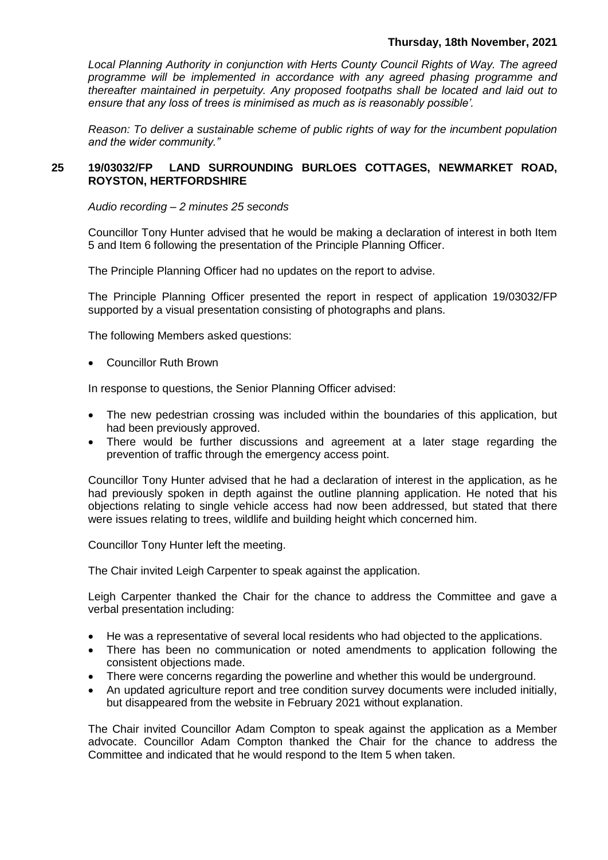## **Thursday, 18th November, 2021**

*Local Planning Authority in conjunction with Herts County Council Rights of Way. The agreed programme will be implemented in accordance with any agreed phasing programme and thereafter maintained in perpetuity. Any proposed footpaths shall be located and laid out to ensure that any loss of trees is minimised as much as is reasonably possible'.*

*Reason: To deliver a sustainable scheme of public rights of way for the incumbent population and the wider community."*

# **25 19/03032/FP LAND SURROUNDING BURLOES COTTAGES, NEWMARKET ROAD, ROYSTON, HERTFORDSHIRE**

*Audio recording – 2 minutes 25 seconds*

Councillor Tony Hunter advised that he would be making a declaration of interest in both Item 5 and Item 6 following the presentation of the Principle Planning Officer.

The Principle Planning Officer had no updates on the report to advise.

The Principle Planning Officer presented the report in respect of application 19/03032/FP supported by a visual presentation consisting of photographs and plans.

The following Members asked questions:

Councillor Ruth Brown

In response to questions, the Senior Planning Officer advised:

- The new pedestrian crossing was included within the boundaries of this application, but had been previously approved.
- There would be further discussions and agreement at a later stage regarding the prevention of traffic through the emergency access point.

Councillor Tony Hunter advised that he had a declaration of interest in the application, as he had previously spoken in depth against the outline planning application. He noted that his objections relating to single vehicle access had now been addressed, but stated that there were issues relating to trees, wildlife and building height which concerned him.

Councillor Tony Hunter left the meeting.

The Chair invited Leigh Carpenter to speak against the application.

Leigh Carpenter thanked the Chair for the chance to address the Committee and gave a verbal presentation including:

- He was a representative of several local residents who had objected to the applications.
- There has been no communication or noted amendments to application following the consistent objections made.
- There were concerns regarding the powerline and whether this would be underground.
- An updated agriculture report and tree condition survey documents were included initially, but disappeared from the website in February 2021 without explanation.

The Chair invited Councillor Adam Compton to speak against the application as a Member advocate. Councillor Adam Compton thanked the Chair for the chance to address the Committee and indicated that he would respond to the Item 5 when taken.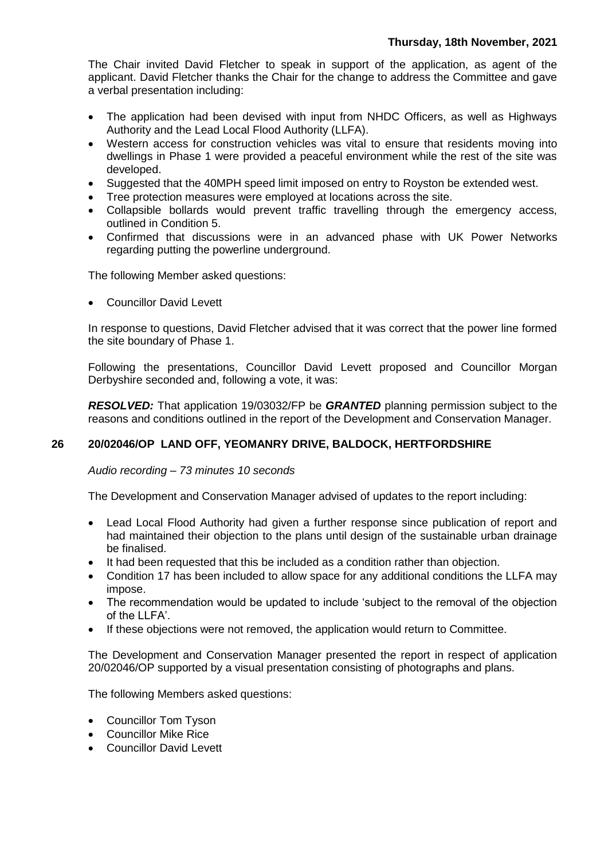The Chair invited David Fletcher to speak in support of the application, as agent of the applicant. David Fletcher thanks the Chair for the change to address the Committee and gave a verbal presentation including:

- The application had been devised with input from NHDC Officers, as well as Highways Authority and the Lead Local Flood Authority (LLFA).
- Western access for construction vehicles was vital to ensure that residents moving into dwellings in Phase 1 were provided a peaceful environment while the rest of the site was developed.
- Suggested that the 40MPH speed limit imposed on entry to Royston be extended west.
- Tree protection measures were employed at locations across the site.
- Collapsible bollards would prevent traffic travelling through the emergency access, outlined in Condition 5.
- Confirmed that discussions were in an advanced phase with UK Power Networks regarding putting the powerline underground.

The following Member asked questions:

Councillor David Levett

In response to questions, David Fletcher advised that it was correct that the power line formed the site boundary of Phase 1.

Following the presentations, Councillor David Levett proposed and Councillor Morgan Derbyshire seconded and, following a vote, it was:

*RESOLVED:* That application 19/03032/FP be *GRANTED* planning permission subject to the reasons and conditions outlined in the report of the Development and Conservation Manager.

# **26 20/02046/OP LAND OFF, YEOMANRY DRIVE, BALDOCK, HERTFORDSHIRE**

*Audio recording – 73 minutes 10 seconds*

The Development and Conservation Manager advised of updates to the report including:

- Lead Local Flood Authority had given a further response since publication of report and had maintained their objection to the plans until design of the sustainable urban drainage be finalised.
- It had been requested that this be included as a condition rather than objection.
- Condition 17 has been included to allow space for any additional conditions the LLFA may impose.
- The recommendation would be updated to include 'subject to the removal of the objection of the LLFA'.
- If these objections were not removed, the application would return to Committee.

The Development and Conservation Manager presented the report in respect of application 20/02046/OP supported by a visual presentation consisting of photographs and plans.

The following Members asked questions:

- Councillor Tom Tyson
- Councillor Mike Rice
- Councillor David Levett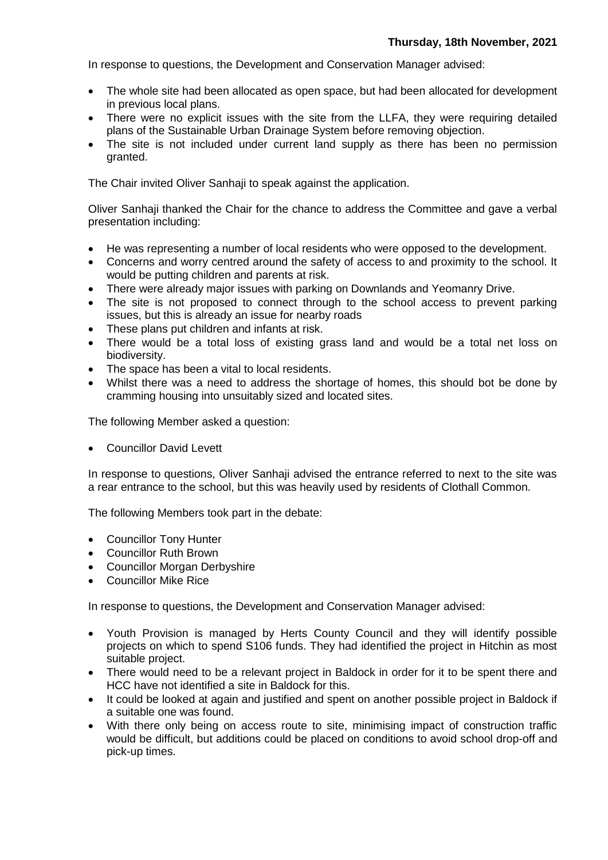In response to questions, the Development and Conservation Manager advised:

- The whole site had been allocated as open space, but had been allocated for development in previous local plans.
- There were no explicit issues with the site from the LLFA, they were requiring detailed plans of the Sustainable Urban Drainage System before removing objection.
- The site is not included under current land supply as there has been no permission granted.

The Chair invited Oliver Sanhaji to speak against the application.

Oliver Sanhaji thanked the Chair for the chance to address the Committee and gave a verbal presentation including:

- He was representing a number of local residents who were opposed to the development.
- Concerns and worry centred around the safety of access to and proximity to the school. It would be putting children and parents at risk.
- There were already major issues with parking on Downlands and Yeomanry Drive.
- The site is not proposed to connect through to the school access to prevent parking issues, but this is already an issue for nearby roads
- These plans put children and infants at risk.
- There would be a total loss of existing grass land and would be a total net loss on biodiversity.
- The space has been a vital to local residents.
- Whilst there was a need to address the shortage of homes, this should bot be done by cramming housing into unsuitably sized and located sites.

The following Member asked a question:

Councillor David Levett

In response to questions, Oliver Sanhaji advised the entrance referred to next to the site was a rear entrance to the school, but this was heavily used by residents of Clothall Common.

The following Members took part in the debate:

- Councillor Tony Hunter
- Councillor Ruth Brown
- Councillor Morgan Derbyshire
- Councillor Mike Rice

In response to questions, the Development and Conservation Manager advised:

- Youth Provision is managed by Herts County Council and they will identify possible projects on which to spend S106 funds. They had identified the project in Hitchin as most suitable project.
- There would need to be a relevant project in Baldock in order for it to be spent there and HCC have not identified a site in Baldock for this.
- It could be looked at again and justified and spent on another possible project in Baldock if a suitable one was found.
- With there only being on access route to site, minimising impact of construction traffic would be difficult, but additions could be placed on conditions to avoid school drop-off and pick-up times.